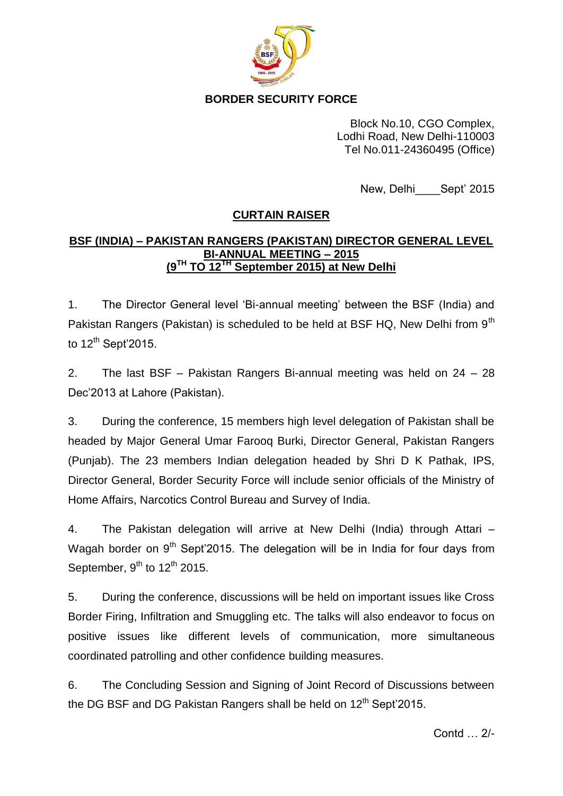

**BORDER SECURITY FORCE**

Block No.10, CGO Complex, Lodhi Road, New Delhi-110003 Tel No.011-24360495 (Office)

New, Delhi Sept' 2015

## **CURTAIN RAISER**

## **BSF (INDIA) – PAKISTAN RANGERS (PAKISTAN) DIRECTOR GENERAL LEVEL BI-ANNUAL MEETING – 2015 (9TH TO 12TH September 2015) at New Delhi**

1. The Director General level 'Bi-annual meeting' between the BSF (India) and Pakistan Rangers (Pakistan) is scheduled to be held at BSF HQ, New Delhi from 9<sup>th</sup> to  $12^{th}$  Sept'2015.

2. The last BSF – Pakistan Rangers Bi-annual meeting was held on 24 – 28 Dec'2013 at Lahore (Pakistan).

3. During the conference, 15 members high level delegation of Pakistan shall be headed by Major General Umar Farooq Burki, Director General, Pakistan Rangers (Punjab). The 23 members Indian delegation headed by Shri D K Pathak, IPS, Director General, Border Security Force will include senior officials of the Ministry of Home Affairs, Narcotics Control Bureau and Survey of India.

4. The Pakistan delegation will arrive at New Delhi (India) through Attari – Wagah border on  $9<sup>th</sup>$  Sept'2015. The delegation will be in India for four days from September,  $9^{th}$  to  $12^{th}$  2015.

5. During the conference, discussions will be held on important issues like Cross Border Firing, Infiltration and Smuggling etc. The talks will also endeavor to focus on positive issues like different levels of communication, more simultaneous coordinated patrolling and other confidence building measures.

6. The Concluding Session and Signing of Joint Record of Discussions between the DG BSF and DG Pakistan Rangers shall be held on  $12<sup>th</sup>$  Sept'2015.